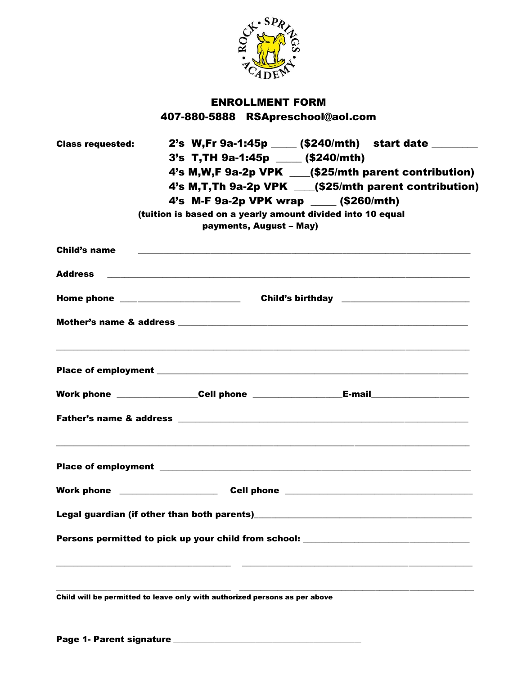

## ENROLLMENT FORM 407-880-5888 RSApreschool@aol.com

| <b>Class requested:</b> |                                                                                                                       |  | 2's W,Fr 9a-1:45p ____ (\$240/mth) start date _______ |  |  |
|-------------------------|-----------------------------------------------------------------------------------------------------------------------|--|-------------------------------------------------------|--|--|
|                         | $3's$ T, TH 9a-1:45p ____ (\$240/mth)                                                                                 |  |                                                       |  |  |
|                         |                                                                                                                       |  | 4's M,W,F 9a-2p VPK ___(\$25/mth parent contribution) |  |  |
|                         |                                                                                                                       |  | 4's M,T,Th 9a-2p VPK __(\$25/mth parent contribution) |  |  |
|                         | 4's M-F 9a-2p VPK wrap ____ (\$260/mth)                                                                               |  |                                                       |  |  |
|                         | (tuition is based on a yearly amount divided into 10 equal<br>payments, August - May)                                 |  |                                                       |  |  |
| Child's name            | <u> 1989 - Johann John Stone, markin amerikan basa dan berkemuarkan berkemuarkan berkemuarkan berkemuarkan berkem</u> |  |                                                       |  |  |
|                         |                                                                                                                       |  |                                                       |  |  |
|                         | Home phone _______________________                                                                                    |  |                                                       |  |  |
|                         |                                                                                                                       |  |                                                       |  |  |
|                         |                                                                                                                       |  |                                                       |  |  |
|                         | Work phone _________________Cell phone ______________________E-mail______________                                     |  |                                                       |  |  |
|                         |                                                                                                                       |  |                                                       |  |  |
|                         |                                                                                                                       |  |                                                       |  |  |
|                         | Work phone ______________________________Cell phone ____________________________                                      |  |                                                       |  |  |
|                         | Legal guardian (if other than both parents)                                                                           |  |                                                       |  |  |
|                         | Persons permitted to pick up your child from school: ___________________________                                      |  |                                                       |  |  |
|                         | Child will be permitted to leave only with authorized persons as per above                                            |  |                                                       |  |  |